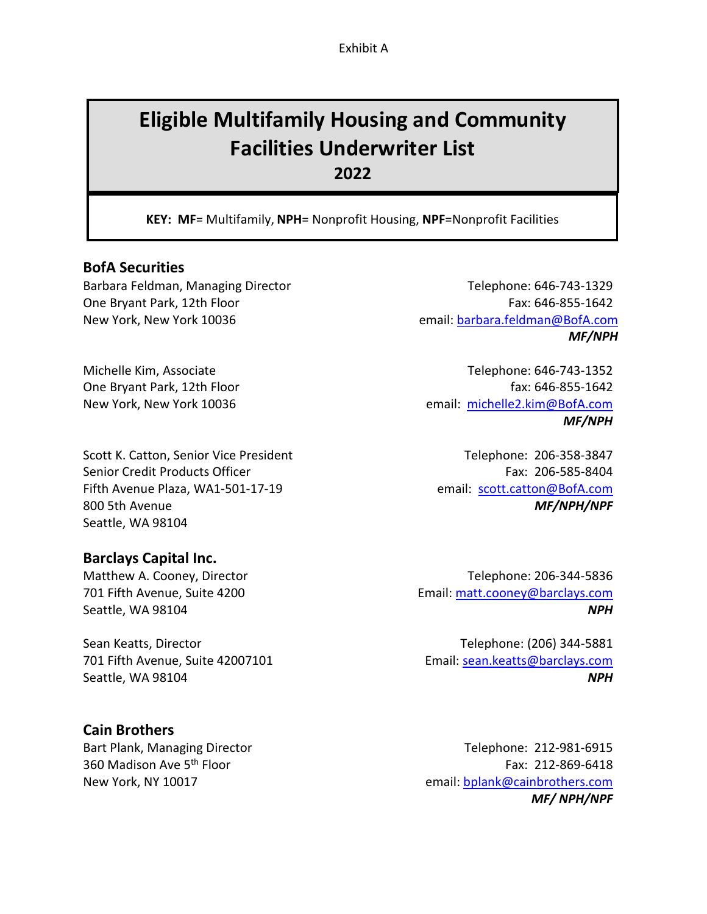Exhibit A

# **Eligible Multifamily Housing and Community Facilities Underwriter List 2022**

**KEY: MF**= Multifamily, **NPH**= Nonprofit Housing, **NPF**=Nonprofit Facilities

## **BofA Securities**

Barbara Feldman, Managing Director Telephone: 646-743-1329 One Bryant Park, 12th Floor Fax: 646-855-1642 New York, New York 10036 email[: barbara.feldman@BofA.com](mailto:barbara.feldman@BofA.com) 

Scott K. Catton, Senior Vice President Telephone: 206-358-3847 Senior Credit Products Officer Fax: 206-585-8404 Fifth Avenue Plaza, WA1-501-17-19 email: scott.catton@BofA.com 800 5th Avenue *MF/NPH/NPF* Seattle, WA 98104

**Barclays Capital Inc.**

Sean Keatts, Director **Telephone: (206)** 344-5881 701 Fifth Avenue, Suite 42007101 Email[: sean.keatts@barclays.com](mailto:sean.keatts@barclays.com) Seattle, WA 98104 *NPH* 

# **Cain Brothers**

*MF/NPH*

Michelle Kim, Associate Telephone: 646-743-1352 One Bryant Park, 12th Floor fax: 646-855-1642 New York, New York 10036 email: [michelle2.kim@BofA.com](mailto:michelle2.kim@BofA.com)  *MF/NPH*

Matthew A. Cooney, Director Telephone: 206-344-5836 701 Fifth Avenue, Suite 4200 Email: [matt.cooney@barclays.com](mailto:matt.cooney@barclays.com)  Seattle, WA 98104 *NPH*

Bart Plank, Managing Director Telephone: 212-981-6915 360 Madison Ave 5<sup>th</sup> Floor Fax: 212-869-6418 New York, NY 10017 email: [bplank@cainbrothers.com](mailto:bplank@cainbrothers.com)  *MF/ NPH/NPF*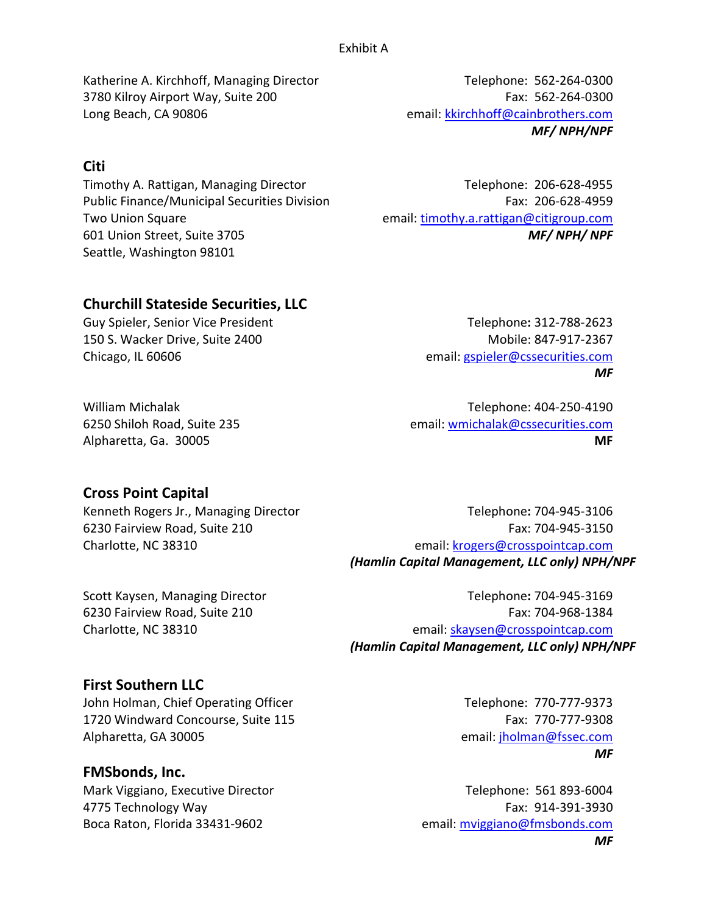Katherine A. Kirchhoff, Managing Director Telephone: 562-264-0300 3780 Kilroy Airport Way, Suite 200 Fax: 562-264-0300 Long Beach, CA 90806 email: kkirchhoff@cainbrothers.com

# **Citi**

Timothy A. Rattigan, Managing Director Telephone: 206-628-4955 Public Finance/Municipal Securities Division Fax: 206-628-4959 Two Union Square email: [timothy.a.rattigan@citigroup.com](mailto:timothy.a.rattigan@citigroup.com)  601 Union Street, Suite 3705 *MF/ NPH/ NPF* Seattle, Washington 98101

*MF/ NPH/NPF*

# **Churchill Stateside Securities, LLC**

Guy Spieler, Senior Vice President Telephone**:** 312-788-2623 150 S. Wacker Drive, Suite 2400 Mobile: 847-917-2367 Chicago, IL 60606 email: [gspieler@cssecurities.com](mailto:gspieler@cssecurities.com) 

*MF*

William Michalak Telephone: 404-250-4190 6250 Shiloh Road, Suite 235 email: [wmichalak@cssecurities.com](mailto:wmichalak@cssecurities.com)  Alpharetta, Ga. 30005 **MF**

# **Cross Point Capital**

Kenneth Rogers Jr., Managing Director Telephone: 704-945-3106

6230 Fairview Road, Suite 210 Fax: 704-945-3150 Charlotte, NC 38310 email: [krogers@crosspointcap.com](mailto:krogers@crosspointcap.com) *(Hamlin Capital Management, LLC only) NPH/NPF* 

Scott Kaysen, Managing Director Telephone: 704-945-3169

6230 Fairview Road, Suite 210 Fax: 704-968-1384 Charlotte, NC 38310 email: [skaysen@crosspointcap.com](mailto:skaysen@crosspointcap.com) *(Hamlin Capital Management, LLC only) NPH/NPF*

# **First Southern LLC**

John Holman, Chief Operating Officer Telephone: 770-777-9373 1720 Windward Concourse, Suite 115 Fax: 770-777-9308 Alpharetta, GA 30005 email: jholman@fssec.com

## **FMSbonds, Inc.**

Mark Viggiano, Executive Director Telephone: 561 893-6004 A 4775 Technology Way Fax: 914-391-3930 Boca Raton, Florida 33431-9602 email: mviggiano@fmsbonds.com

*MF*

*MF*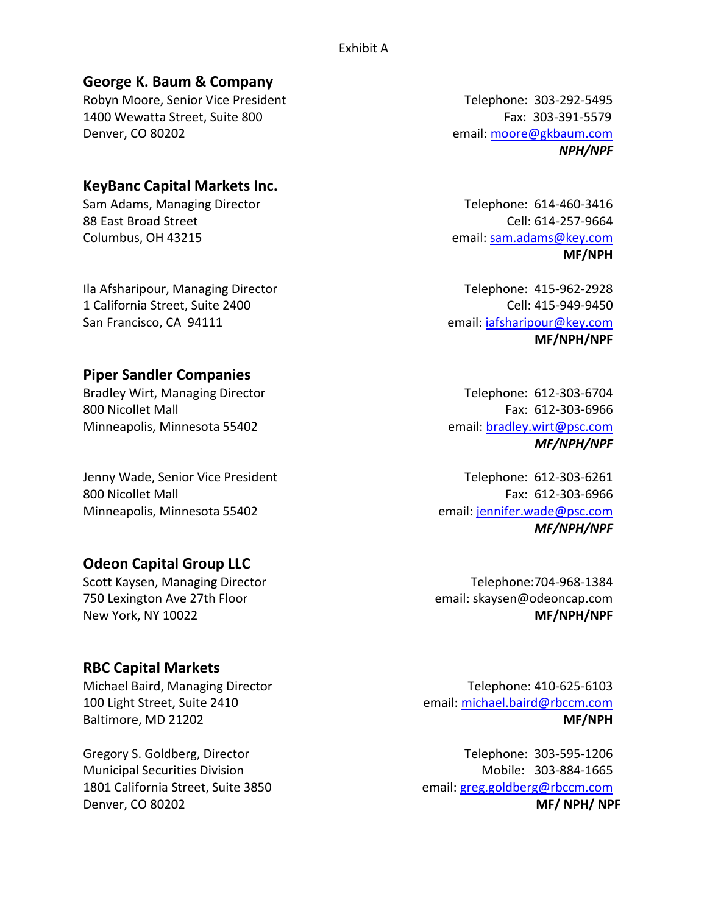# **George K. Baum & Company**

Robyn Moore, Senior Vice President Telephone: 303-292-5495 1400 Wewatta Street, Suite 800 Fax: 303-391-5579 Denver, CO 80202 email: moore@gkbaum.com

# **KeyBanc Capital Markets Inc.**

Sam Adams, Managing Director Telephone: 614-460-3416 88 East Broad Street Cell: 614-257-9664 Columbus, OH 43215 email: [sam.adams@key.com](mailto:sam.adams@key.com) 

Ila Afsharipour, Managing Director **Telephone: 415-962-2928** 1 California Street, Suite 2400 Cell: 415-949-9450 San Francisco, CA 94111 email: iafsharipour@key.com

## **Piper Sandler Companies**

800 Nicollet Mall Fax: 612-303-6966 Minneapolis, Minnesota 55402 email: bradley.wirt@psc.com

Jenny Wade, Senior Vice President Telephone: 612-303-6261 800 Nicollet Mall Fax: 612-303-6966 Minneapolis, Minnesota 55402 email: [jennifer.wade@psc.com](mailto:jennifer.wade@psc.com) 

# **Odeon Capital Group LLC**

Scott Kaysen, Managing Director Telephone: 704-968-1384 750 Lexington Ave 27th Floor email: skaysen@odeoncap.com New York, NY 10022 **MF/NPH/NPF** 

# **RBC Capital Markets**

Michael Baird, Managing Director Telephone: 410-625-6103

Denver, CO 80202 **MF/ NPH/ NPF**

*NPH/NPF*

**MF/NPH**

**MF/NPH/NPF**

Bradley Wirt, Managing Director Telephone: 612-303-6704 *MF/NPH/NPF*

*MF/NPH/NPF*

100 Light Street, Suite 2410 email: [michael.baird@rbccm.com](mailto:michael.baird@rbccm.com) Baltimore, MD 21202 **MF/NPH**

Gregory S. Goldberg, Director Telephone: 303-595-1206 Municipal Securities Division and Mobile: 303-884-1665 1801 California Street, Suite 3850 email: [greg.goldberg@rbccm.com](mailto:greg.goldberg@rbccm.com)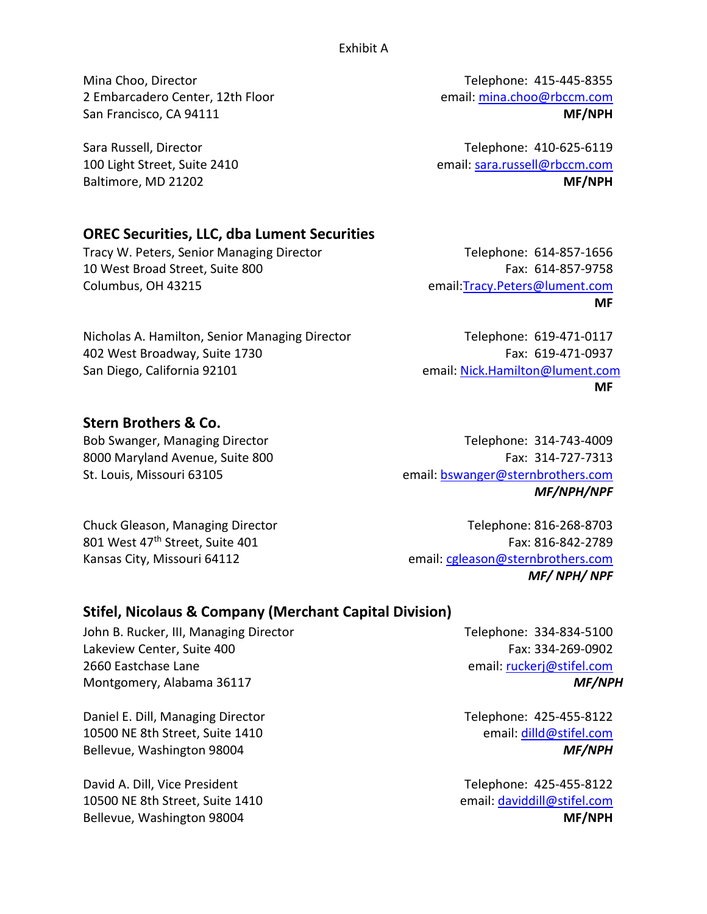Exhibit A

Mina Choo, Director **Telephone: 415-445-8355** 2 Embarcadero Center, 12th Floor email: [mina.choo@rbccm.com](mailto:mina.choo@rbccm.com)  San Francisco, CA 94111 **MEXET AND RESERVE THE SAN AREA CONSTRUCTED MEXET AND MEXET AND MEXET AND MEXET AND MEXET AND MEXET AND MEXET AND MEXET AND MEXET AND MEXET AND MEXET AND MEXICAL AND MEXICAL AND MEXICAL AND MEXICAL** 

Sara Russell, Director **Telephone: 410-625-6119** 100 Light Street, Suite 2410 email: [sara.russell@rbccm.com](mailto:sara.russell@rbccm.com) Baltimore, MD 21202 **MF/NPH** 

# **OREC Securities, LLC, dba Lument Securities**

Tracy W. Peters, Senior Managing Director Telephone: 614-857-1656 10 West Broad Street, Suite 800 Fax: 614-857-9758 Columbus, OH 43215 email[:Tracy.Peters@lument.com](mailto:Tracy.Peters@lument.com)

**MF**

Nicholas A. Hamilton, Senior Managing Director Telephone: 619-471-0117 402 West Broadway, Suite 1730 **Fax: 619-471-0937** Fax: 619-471-0937 San Diego, California 92101 email: [Nick.Hamilton@lument.com](mailto:Nick.Hamilton@lument.com)

**MF**

## **Stern Brothers & Co.**

Bob Swanger, Managing Director Telephone: 314-743-4009 8000 Maryland Avenue, Suite 800 Fax: 314-727-7313 St. Louis, Missouri 63105 email: [bswanger@sternbrothers.com](mailto:bswanger@sternbrothers.com)  *MF/NPH/NPF*

Chuck Gleason, Managing Director Telephone: 816-268-8703 801 West 47<sup>th</sup> Street, Suite 401 **Fax: 816-842-2789** Fax: 816-842-2789 Kansas City, Missouri 64112 email: cgleason@sternbrothers.com *MF/ NPH/ NPF*

# **Stifel, Nicolaus & Company (Merchant Capital Division)**

John B. Rucker, III, Managing Director Telephone: 334-834-5100 Lakeview Center, Suite 400 Fax: 334-269-0902 2660 Eastchase Lane email: [ruckerj@stifel.com](mailto:ruckerj@stifel.com)  Montgomery, Alabama 36117 *MF/NPH*

Daniel E. Dill, Managing Director Telephone: 425-455-8122 10500 NE 8th Street, Suite 1410 email: [dilld@stifel.com](mailto:dilld@stifel.com)  Bellevue, Washington 98004 *MF/NPH*

David A. Dill, Vice President Telephone: 425-455-8122 10500 NE 8th Street, Suite 1410 email: [daviddill@stifel.com](mailto:daviddill@stifel.com)  Bellevue, Washington 98004 **MEXALLES MEXALLES MEXALLES MEXALLES MEXALLES MEXALLES MEXALLES**